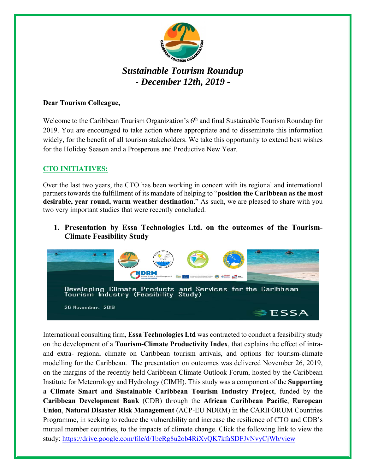

# *Sustainable Tourism Roundup - December 12th, 2019 -*

### **Dear Tourism Colleague,**

Welcome to the Caribbean Tourism Organization's  $6<sup>th</sup>$  and final Sustainable Tourism Roundup for 2019. You are encouraged to take action where appropriate and to disseminate this information widely, for the benefit of all tourism stakeholders. We take this opportunity to extend best wishes for the Holiday Season and a Prosperous and Productive New Year.

## **CTO INITIATIVES:**

Over the last two years, the CTO has been working in concert with its regional and international partners towards the fulfillment of its mandate of helping to "**position the Caribbean as the most desirable, year round, warm weather destination**." As such, we are pleased to share with you two very important studies that were recently concluded.

**1. Presentation by Essa Technologies Ltd. on the outcomes of the Tourism-Climate Feasibility Study** 



International consulting firm, **Essa Technologies Ltd** was contracted to conduct a feasibility study on the development of a **Tourism-Climate Productivity Index**, that explains the effect of intraand extra- regional climate on Caribbean tourism arrivals, and options for tourism-climate modelling for the Caribbean. The presentation on outcomes was delivered November 26, 2019, on the margins of the recently held Caribbean Climate Outlook Forum, hosted by the Caribbean Institute for Meteorology and Hydrology (CIMH). This study was a component of the **Supporting a Climate Smart and Sustainable Caribbean Tourism Industry Project**, funded by the **Caribbean Development Bank** (CDB) through the **African Caribbean Pacific**, **European Union**, **Natural Disaster Risk Management** (ACP-EU NDRM) in the CARIFORUM Countries Programme, in seeking to reduce the vulnerability and increase the resilience of CTO and CDB's mutual member countries, to the impacts of climate change. Click the following link to view the study: https://drive.google.com/file/d/1beRg8u2ob4RiXvQK7kfaSDFJvNvyCjWb/view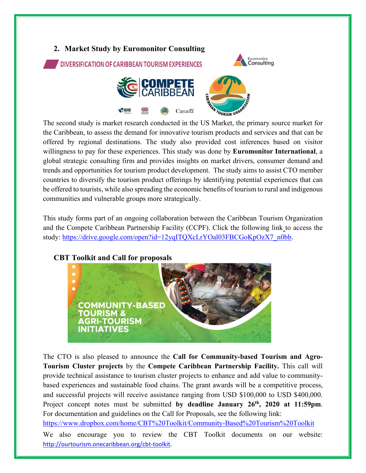

The second study is market research conducted in the US Market, the primary source market for the Caribbean, to assess the demand for innovative tourism products and services and that can be offered by regional destinations. The study also provided cost inferences based on visitor willingness to pay for these experiences. This study was done by **Euromonitor International**, a global strategic consulting firm and provides insights on market drivers, consumer demand and trends and opportunities for tourism product development. The study aims to assist CTO member countries to diversify the tourism product offerings by identifying potential experiences that can be offered to tourists, while also spreading the economic benefits of tourism to rural and indigenous communities and vulnerable groups more strategically.

This study forms part of an ongoing collaboration between the Caribbean Tourism Organization and the Compete Caribbean Partnership Facility (CCPF). Click the following link to access the study: https://drive.google.com/open?id=12yqITQXcLrYOal03FBCGoKpOzX7\_n0bb.





The CTO is also pleased to announce the **Call for Community-based Tourism and Agro-Tourism Cluster projects** by the **Compete Caribbean Partnership Facility.** This call will provide technical assistance to tourism cluster projects to enhance and add value to communitybased experiences and sustainable food chains. The grant awards will be a competitive process, and successful projects will receive assistance ranging from USD \$100,000 to USD \$400,000. Project concept notes must be submitted **by deadline January 26th, 2020 at 11:59pm**. For documentation and guidelines on the Call for Proposals, see the following link: https://www.dropbox.com/home/CBT%20Toolkit/Community-Based%20Tourism%20Toolkit

We also encourage you to review the CBT Toolkit documents on our website: http://ourtourism.onecaribbean.org/cbt‐toolkit.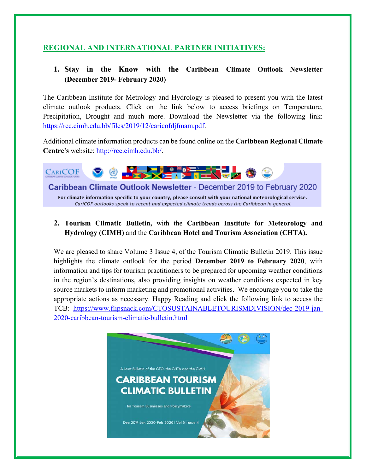## **REGIONAL AND INTERNATIONAL PARTNER INITIATIVES:**

## **1. Stay in the Know with the Caribbean Climate Outlook Newsletter (December 2019- February 2020)**

The Caribbean Institute for Metrology and Hydrology is pleased to present you with the latest climate outlook products. Click on the link below to access briefings on Temperature, Precipitation, Drought and much more. Download the Newsletter via the following link: https://rcc.cimh.edu.bb/files/2019/12/caricofdjfmam.pdf.

Additional climate information products can be found online on the **Caribbean Regional Climate Centre's** website: http://rcc.cimh.edu.bb/.



Caribbean Climate Outlook Newsletter - December 2019 to February 2020

For climate information specific to your country, please consult with your national meteorological service. CariCOF outlooks speak to recent and expected climate trends across the Caribbean in general.

**2. Tourism Climatic Bulletin,** with the **Caribbean Institute for Meteorology and Hydrology (CIMH)** and the **Caribbean Hotel and Tourism Association (CHTA).** 

We are pleased to share Volume 3 Issue 4, of the Tourism Climatic Bulletin 2019. This issue highlights the climate outlook for the period **December 2019 to February 2020**, with information and tips for tourism practitioners to be prepared for upcoming weather conditions in the region's destinations, also providing insights on weather conditions expected in key source markets to inform marketing and promotional activities. We encourage you to take the appropriate actions as necessary. Happy Reading and click the following link to access the TCB: https://www.flipsnack.com/CTOSUSTAINABLETOURISMDIVISION/dec-2019-jan-2020-caribbean-tourism-climatic-bulletin.html